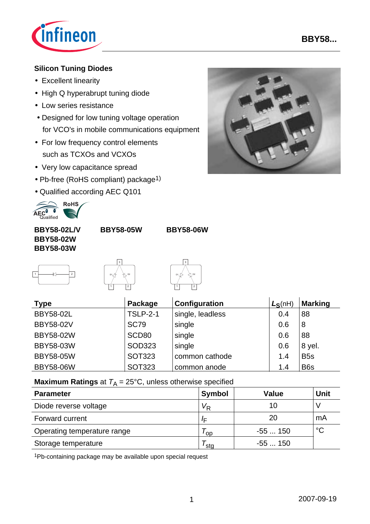

## **Silicon Tuning Diodes**

- Excellent linearity
- High Q hyperabrupt tuning diode
- Low series resistance
- Designed for low tuning voltage operation for VCO's in mobile communications equipment
- For low frequency control elements such as TCXOs and VCXOs
- Very low capacitance spread
- Pb-free (RoHS compliant) package<sup>1)</sup>
- Qualified according AEC Q101



**BBY58-05W BBY58-06W**

**BBY58-02L/V BBY58-02W BBY58-03W**

|  | 2 |
|--|---|
|  |   |





| <b>Type</b>      | Package         | Configuration    | $L_S(nH)$ | <b>Marking</b>  |
|------------------|-----------------|------------------|-----------|-----------------|
| <b>BBY58-02L</b> | <b>TSLP-2-1</b> | single, leadless | 0.4       | 88              |
| <b>BBY58-02V</b> | <b>SC79</b>     | single           | 0.6       | 8               |
| <b>BBY58-02W</b> | SCD80           | single           | 0.6       | 88              |
| BBY58-03W        | SOD323          | single           | 0.6       | 8 yel.          |
| <b>BBY58-05W</b> | <b>SOT323</b>   | common cathode   | 1.4       | B <sub>5s</sub> |
| <b>BBY58-06W</b> | <b>SOT323</b>   | common anode     | 1.4       | B <sub>6s</sub> |

**Maximum Ratings** at  $T_A = 25^{\circ}C$ , unless otherwise specified

| <b>Parameter</b>            | <b>Symbol</b> | <b>Value</b> | Unit        |
|-----------------------------|---------------|--------------|-------------|
| Diode reverse voltage       | Vp            | 10           |             |
| Forward current             | I⊏            | 20           | mA          |
| Operating temperature range | 'op'          | $-55150$     | $^{\circ}C$ |
| Storage temperature         | ˈstɑ          | -55  150     |             |

1Pb-containing package may be available upon special request

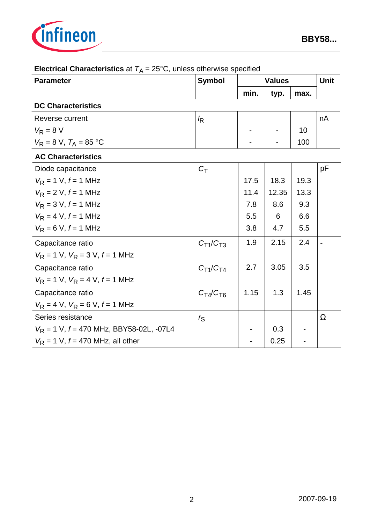

| <b>Parameter</b>                                       | <b>Symbol</b>   | <b>Values</b> |       |      | <b>Unit</b> |
|--------------------------------------------------------|-----------------|---------------|-------|------|-------------|
|                                                        |                 | min.          | typ.  | max. |             |
| <b>DC Characteristics</b>                              |                 |               |       |      |             |
| Reverse current                                        | k               |               |       |      | nA          |
| $V_R = 8 V$                                            |                 |               |       | 10   |             |
| $V_R = 8 \text{ V}, T_A = 85 \text{ }^{\circ}\text{C}$ |                 |               |       | 100  |             |
| <b>AC Characteristics</b>                              |                 |               |       |      |             |
| Diode capacitance                                      | $C_T$           |               |       |      | pF          |
| $V_R = 1$ V, $f = 1$ MHz                               |                 | 17.5          | 18.3  | 19.3 |             |
| $V_R = 2 V, f = 1 MHz$                                 |                 | 11.4          | 12.35 | 13.3 |             |
| $V_R = 3 V, f = 1 MHz$                                 |                 | 7.8           | 8.6   | 9.3  |             |
| $V_{\rm R} = 4$ V, $f = 1$ MHz                         |                 | 5.5           | 6     | 6.6  |             |
| $V_R = 6 V, f = 1 MHz$                                 |                 | 3.8           | 4.7   | 5.5  |             |
| Capacitance ratio                                      | $C_{T1}/C_{T3}$ | 1.9           | 2.15  | 2.4  |             |
| $V_R = 1$ V, $V_R = 3$ V, $f = 1$ MHz                  |                 |               |       |      |             |
| Capacitance ratio                                      | $C_{T1}/C_{T4}$ | 2.7           | 3.05  | 3.5  |             |
| $V_R = 1$ V, $V_R = 4$ V, $f = 1$ MHz                  |                 |               |       |      |             |
| Capacitance ratio                                      | $C_T/ C_{T6}$   | 1.15          | 1.3   | 1.45 |             |
| $V_R = 4$ V, $V_R = 6$ V, $f = 1$ MHz                  |                 |               |       |      |             |
| Series resistance                                      | $r_{\rm S}$     |               |       |      | Ω           |
| $V_R$ = 1 V, $f = 470$ MHz, BBY58-02L, -07L4           |                 |               | 0.3   |      |             |
| $V_R$ = 1 V, $f = 470$ MHz, all other                  |                 |               | 0.25  |      |             |

# **Electrical Characteristics** at  $T_A = 25^{\circ}$ C, unless otherwise specified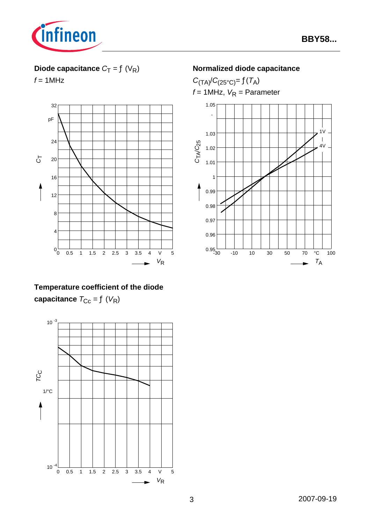

## **Diode capacitance**  $C_T = f(V_R)$

 $f = 1$ MHz



## **Temperature coefficient of the diode capacitance**  $T_{\text{CC}} = f(V_{\text{R}})$



#### **Normalized diode capacitance**

 $C_{(TA)}/C_{(25^{\circ}C)} = f(T_A)$  $f = 1$ MHz,  $V_R =$  Parameter

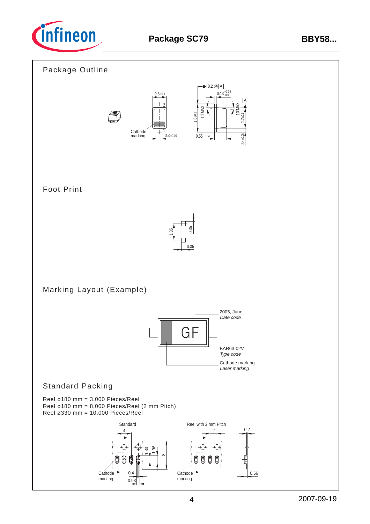

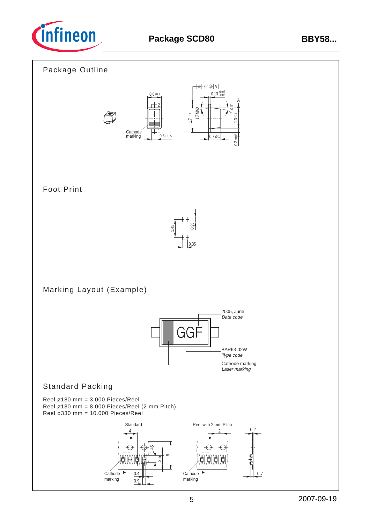

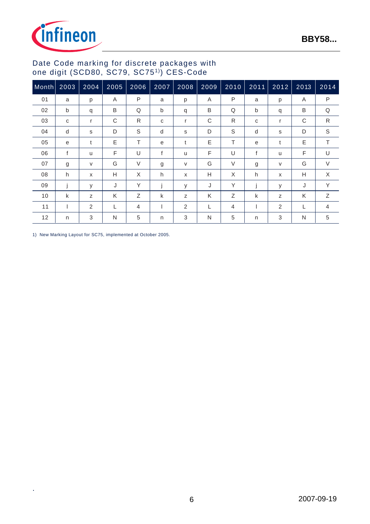

## Date Code marking for discrete packages with one digit (SCD80, SC79, SC751)) CES-Code

| Month | 2003 | 2004   | 2005 | 2006   | 2007 | 2008 | 2009 | 2010   | $2011$ | 2012                      | 2013 | 2014         |
|-------|------|--------|------|--------|------|------|------|--------|--------|---------------------------|------|--------------|
| 01    | a    | p      | Α    | P      | a    | p    | A    | P      | a      | p                         | Α    | $\mathsf{P}$ |
| 02    | b    | q      | B    | Q      | b    | q    | B    | Q      | b      | q                         | B    | Q            |
| 03    | C    | r      | C    | R      | C    | r    | C    | R      | C      | r                         | C    | R            |
| 04    | d    | s      | D    | S      | d    | s    | D    | S      | d      | s                         | D    | $\mathbb S$  |
| 05    | e    | t      | E    | Τ      | e    | t    | E    | т      | e      | t                         | Ε    | T            |
| 06    | f    | u      | F    | U      | f    | u    | F    | U      | f      | u                         | F    | U            |
| 07    | g    | $\vee$ | G    | $\vee$ | g    | V    | G    | $\vee$ | g      | V                         | G    | $\vee$       |
| 08    | h    | X      | H    | X      | h    | X    | Н    | X      | h      | $\boldsymbol{\mathsf{x}}$ | Н    | X            |
| 09    |      | у      | J    | Y      |      | У    | J    | Y      |        | у                         | J    | Υ            |
| 10    | k    | Z      | K    | Z      | k    | Z    | K    | Z      | k      | Z                         | K    | Z            |
| 11    |      | 2      | L    | 4      |      | 2    | L    | 4      |        | 2                         |      | 4            |
| 12    | n    | 3      | N    | 5      | n    | 3    | N    | 5      | n      | 3                         | N    | 5            |

1) New Marking Layout for SC75, implemented at October 2005.

.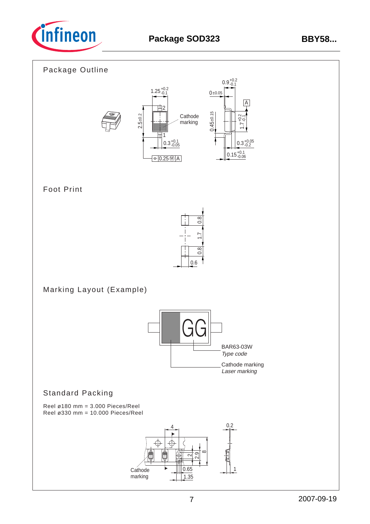

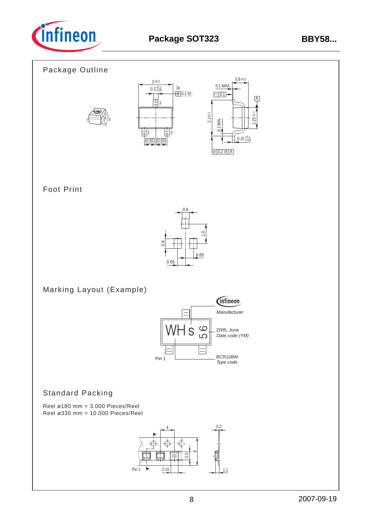

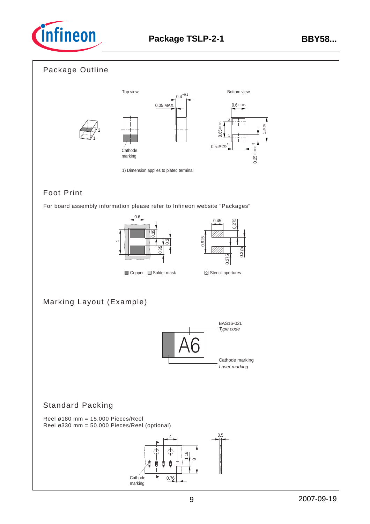

## Package Outline



## Foot Print

For board assembly information please refer to Infineon website "Packages"





## Marking Layout (Example)



## Standard Packing

Reel ø180 mm = 15.000 Pieces/Reel Reel ø330 mm = 50.000 Pieces/Reel (optional)